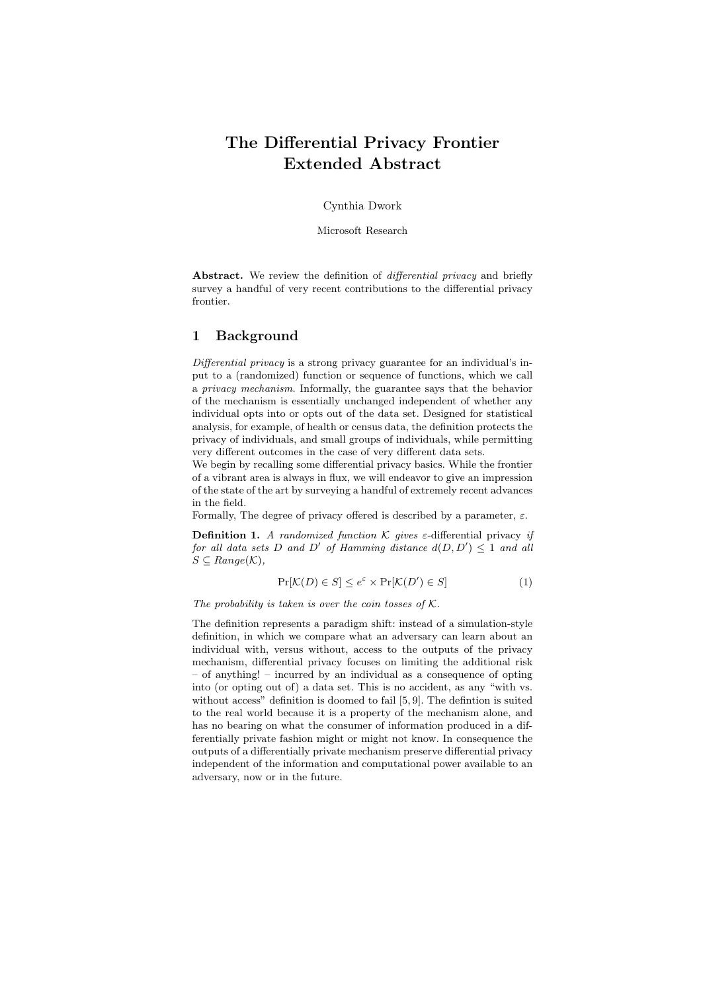# The Differential Privacy Frontier Extended Abstract

Cynthia Dwork

Microsoft Research

Abstract. We review the definition of *differential privacy* and briefly survey a handful of very recent contributions to the differential privacy frontier.

## 1 Background

Differential privacy is a strong privacy guarantee for an individual's input to a (randomized) function or sequence of functions, which we call a privacy mechanism. Informally, the guarantee says that the behavior of the mechanism is essentially unchanged independent of whether any individual opts into or opts out of the data set. Designed for statistical analysis, for example, of health or census data, the definition protects the privacy of individuals, and small groups of individuals, while permitting very different outcomes in the case of very different data sets.

We begin by recalling some differential privacy basics. While the frontier of a vibrant area is always in flux, we will endeavor to give an impression of the state of the art by surveying a handful of extremely recent advances in the field.

Formally. The degree of privacy offered is described by a parameter,  $\varepsilon$ .

**Definition 1.** A randomized function K gives  $\varepsilon$ -differential privacy if for all data sets D and D' of Hamming distance  $d(D, D') \leq 1$  and all  $S \subseteq Range(\mathcal{K}),$ 

$$
\Pr[\mathcal{K}(D) \in S] \le e^{\varepsilon} \times \Pr[\mathcal{K}(D') \in S] \tag{1}
$$

The probability is taken is over the coin tosses of  $K$ .

The definition represents a paradigm shift: instead of a simulation-style definition, in which we compare what an adversary can learn about an individual with, versus without, access to the outputs of the privacy mechanism, differential privacy focuses on limiting the additional risk – of anything! – incurred by an individual as a consequence of opting into (or opting out of) a data set. This is no accident, as any "with vs. without access" definition is doomed to fail [5, 9]. The definition is suited to the real world because it is a property of the mechanism alone, and has no bearing on what the consumer of information produced in a differentially private fashion might or might not know. In consequence the outputs of a differentially private mechanism preserve differential privacy independent of the information and computational power available to an adversary, now or in the future.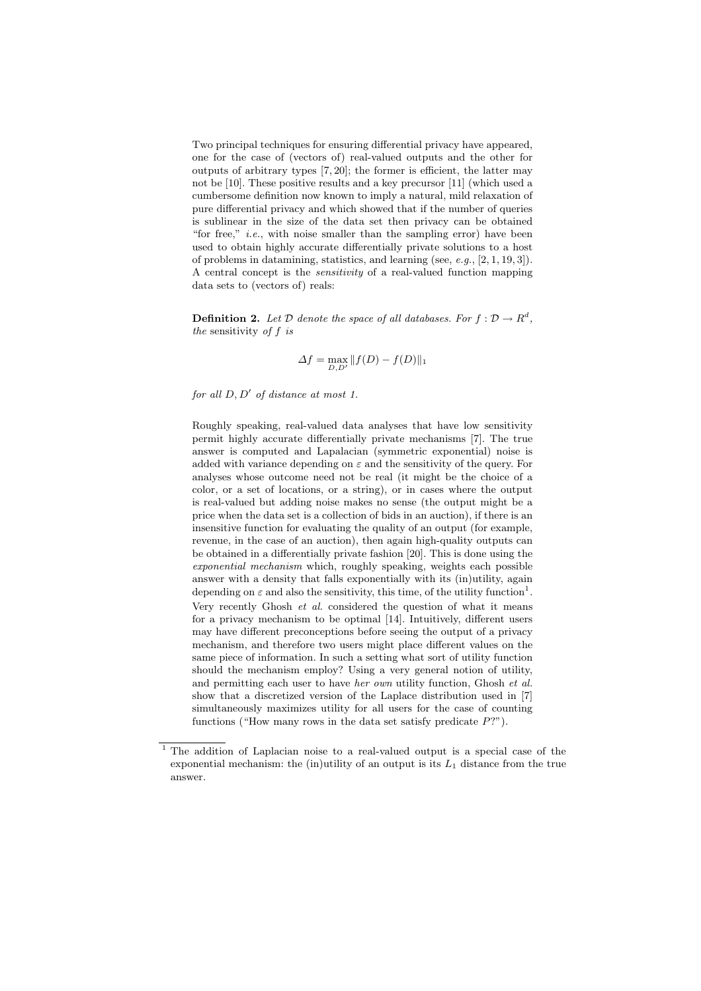Two principal techniques for ensuring differential privacy have appeared, one for the case of (vectors of) real-valued outputs and the other for outputs of arbitrary types [7, 20]; the former is efficient, the latter may not be [10]. These positive results and a key precursor [11] (which used a cumbersome definition now known to imply a natural, mild relaxation of pure differential privacy and which showed that if the number of queries is sublinear in the size of the data set then privacy can be obtained "for free," *i.e.*, with noise smaller than the sampling error) have been used to obtain highly accurate differentially private solutions to a host of problems in datamining, statistics, and learning (see,  $e, q, (2, 1, 19, 3)$ ). A central concept is the sensitivity of a real-valued function mapping data sets to (vectors of) reals:

**Definition 2.** Let  $D$  denote the space of all databases. For  $f : D \to R^d$ , the sensitivity of f is

$$
\Delta f = \max_{D, D'} ||f(D) - f(D)||_1
$$

for all  $D, D'$  of distance at most 1.

Roughly speaking, real-valued data analyses that have low sensitivity permit highly accurate differentially private mechanisms [7]. The true answer is computed and Lapalacian (symmetric exponential) noise is added with variance depending on  $\varepsilon$  and the sensitivity of the query. For analyses whose outcome need not be real (it might be the choice of a color, or a set of locations, or a string), or in cases where the output is real-valued but adding noise makes no sense (the output might be a price when the data set is a collection of bids in an auction), if there is an insensitive function for evaluating the quality of an output (for example, revenue, in the case of an auction), then again high-quality outputs can be obtained in a differentially private fashion [20]. This is done using the exponential mechanism which, roughly speaking, weights each possible answer with a density that falls exponentially with its (in)utility, again depending on  $\varepsilon$  and also the sensitivity, this time, of the utility function<sup>1</sup>. Very recently Ghosh et al. considered the question of what it means for a privacy mechanism to be optimal [14]. Intuitively, different users may have different preconceptions before seeing the output of a privacy mechanism, and therefore two users might place different values on the same piece of information. In such a setting what sort of utility function should the mechanism employ? Using a very general notion of utility, and permitting each user to have her own utility function, Ghosh et al. show that a discretized version of the Laplace distribution used in [7] simultaneously maximizes utility for all users for the case of counting functions ("How many rows in the data set satisfy predicate  $P$ ?").

<sup>1</sup> The addition of Laplacian noise to a real-valued output is a special case of the exponential mechanism: the (in)utility of an output is its  $L_1$  distance from the true answer.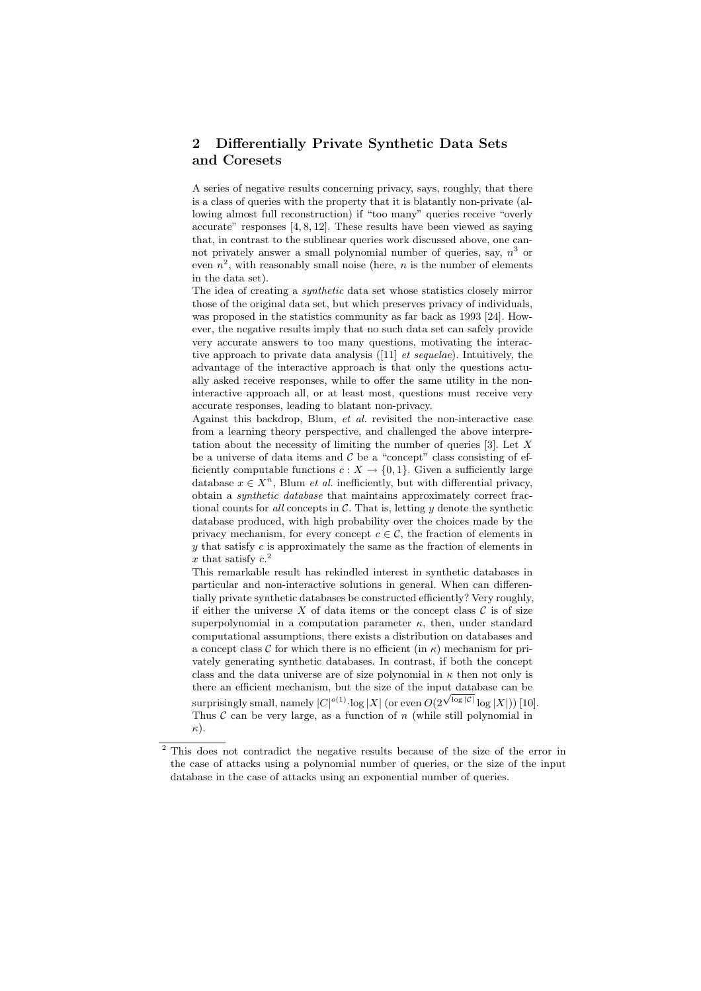## 2 Differentially Private Synthetic Data Sets and Coresets

A series of negative results concerning privacy, says, roughly, that there is a class of queries with the property that it is blatantly non-private (allowing almost full reconstruction) if "too many" queries receive "overly accurate" responses [4, 8, 12]. These results have been viewed as saying that, in contrast to the sublinear queries work discussed above, one cannot privately answer a small polynomial number of queries, say,  $n^3$  or even  $n^2$ , with reasonably small noise (here, n is the number of elements in the data set).

The idea of creating a synthetic data set whose statistics closely mirror those of the original data set, but which preserves privacy of individuals, was proposed in the statistics community as far back as 1993 [24]. However, the negative results imply that no such data set can safely provide very accurate answers to too many questions, motivating the interactive approach to private data analysis ([11] et sequelae). Intuitively, the advantage of the interactive approach is that only the questions actually asked receive responses, while to offer the same utility in the noninteractive approach all, or at least most, questions must receive very accurate responses, leading to blatant non-privacy.

Against this backdrop, Blum, et al. revisited the non-interactive case from a learning theory perspective, and challenged the above interpretation about the necessity of limiting the number of queries  $[3]$ . Let X be a universe of data items and  $C$  be a "concept" class consisting of efficiently computable functions  $c: X \to \{0,1\}$ . Given a sufficiently large database  $x \in X^n$ , Blum *et al.* inefficiently, but with differential privacy, obtain a synthetic database that maintains approximately correct fractional counts for all concepts in  $C$ . That is, letting y denote the synthetic database produced, with high probability over the choices made by the privacy mechanism, for every concept  $c \in \mathcal{C}$ , the fraction of elements in  $y$  that satisfy  $c$  is approximately the same as the fraction of elements in x that satisfy  $c^2$ .

This remarkable result has rekindled interest in synthetic databases in particular and non-interactive solutions in general. When can differentially private synthetic databases be constructed efficiently? Very roughly, if either the universe  $X$  of data items or the concept class  $\mathcal C$  is of size superpolynomial in a computation parameter  $\kappa$ , then, under standard computational assumptions, there exists a distribution on databases and a concept class  $\mathcal C$  for which there is no efficient (in  $\kappa$ ) mechanism for privately generating synthetic databases. In contrast, if both the concept class and the data universe are of size polynomial in  $\kappa$  then not only is there an efficient mechanism, but the size of the input database can be surprisingly small, namely  $|C|^{\rho(1)} \cdot \log |X|$  (or even  $O(2^{\sqrt{\log |C|} \log |X|})$  [10]. Thus  $\mathcal C$  can be very large, as a function of  $n$  (while still polynomial in κ).

<sup>2</sup> This does not contradict the negative results because of the size of the error in the case of attacks using a polynomial number of queries, or the size of the input database in the case of attacks using an exponential number of queries.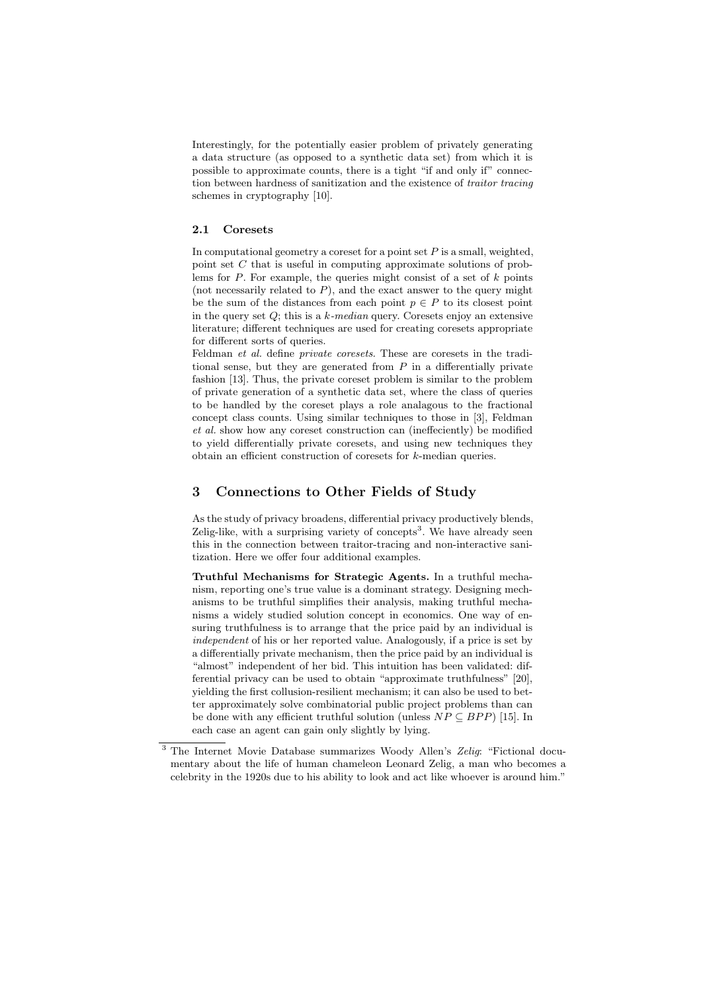Interestingly, for the potentially easier problem of privately generating a data structure (as opposed to a synthetic data set) from which it is possible to approximate counts, there is a tight "if and only if" connection between hardness of sanitization and the existence of traitor tracing schemes in cryptography [10].

#### 2.1 Coresets

In computational geometry a coreset for a point set  $P$  is a small, weighted, point set C that is useful in computing approximate solutions of problems for  $P$ . For example, the queries might consist of a set of  $k$  points (not necessarily related to  $P$ ), and the exact answer to the query might be the sum of the distances from each point  $p \in P$  to its closest point in the query set  $Q$ ; this is a  $k$ -median query. Coresets enjoy an extensive literature; different techniques are used for creating coresets appropriate for different sorts of queries.

Feldman et al. define private coresets. These are coresets in the traditional sense, but they are generated from  $P$  in a differentially private fashion [13]. Thus, the private coreset problem is similar to the problem of private generation of a synthetic data set, where the class of queries to be handled by the coreset plays a role analagous to the fractional concept class counts. Using similar techniques to those in [3], Feldman et al. show how any coreset construction can (ineffeciently) be modified to yield differentially private coresets, and using new techniques they obtain an efficient construction of coresets for k-median queries.

## 3 Connections to Other Fields of Study

As the study of privacy broadens, differential privacy productively blends, Zelig-like, with a surprising variety of concepts<sup>3</sup>. We have already seen this in the connection between traitor-tracing and non-interactive sanitization. Here we offer four additional examples.

Truthful Mechanisms for Strategic Agents. In a truthful mechanism, reporting one's true value is a dominant strategy. Designing mechanisms to be truthful simplifies their analysis, making truthful mechanisms a widely studied solution concept in economics. One way of ensuring truthfulness is to arrange that the price paid by an individual is independent of his or her reported value. Analogously, if a price is set by a differentially private mechanism, then the price paid by an individual is "almost" independent of her bid. This intuition has been validated: differential privacy can be used to obtain "approximate truthfulness" [20], yielding the first collusion-resilient mechanism; it can also be used to better approximately solve combinatorial public project problems than can be done with any efficient truthful solution (unless  $NP \subseteq BPP$ ) [15]. In each case an agent can gain only slightly by lying.

<sup>&</sup>lt;sup>3</sup> The Internet Movie Database summarizes Woody Allen's Zelig: "Fictional documentary about the life of human chameleon Leonard Zelig, a man who becomes a celebrity in the 1920s due to his ability to look and act like whoever is around him."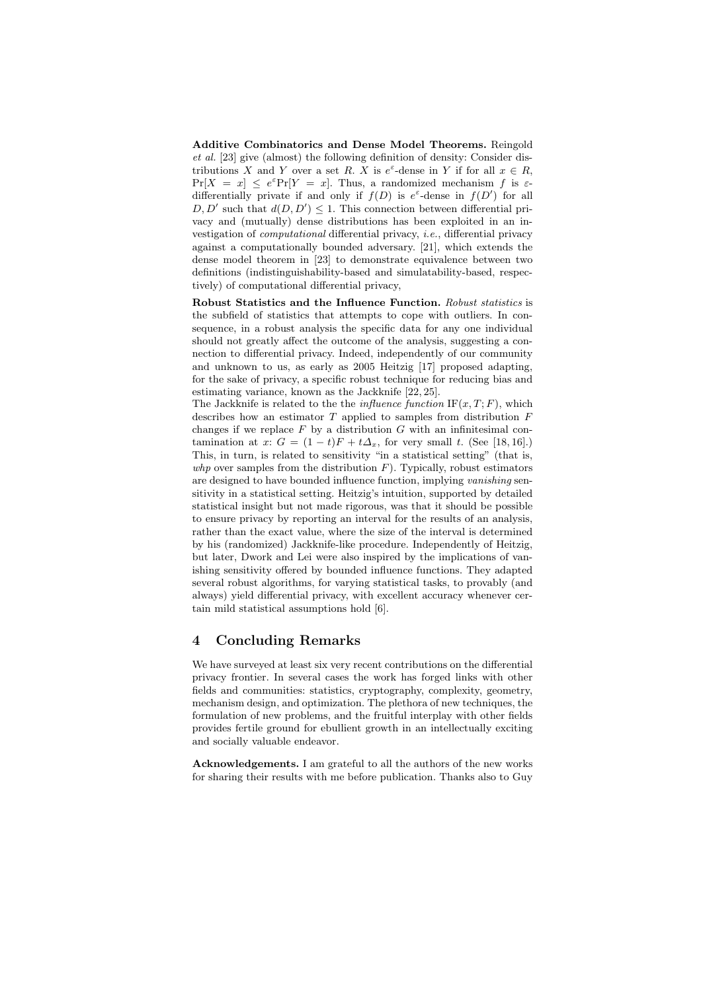Additive Combinatorics and Dense Model Theorems. Reingold et al. [23] give (almost) the following definition of density: Consider distributions X and Y over a set R. X is  $e^{\varepsilon}$ -dense in Y if for all  $x \in R$ ,  $Pr[X = x] \leq e^{\varepsilon} Pr[Y = x]$ . Thus, a randomized mechanism f is  $\varepsilon$ differentially private if and only if  $f(D)$  is  $e^{\epsilon}$ -dense in  $f(D')$  for all  $D, D'$  such that  $d(D, D') \leq 1$ . This connection between differential privacy and (mutually) dense distributions has been exploited in an investigation of computational differential privacy, i.e., differential privacy against a computationally bounded adversary. [21], which extends the dense model theorem in [23] to demonstrate equivalence between two definitions (indistinguishability-based and simulatability-based, respectively) of computational differential privacy,

Robust Statistics and the Influence Function. Robust statistics is the subfield of statistics that attempts to cope with outliers. In consequence, in a robust analysis the specific data for any one individual should not greatly affect the outcome of the analysis, suggesting a connection to differential privacy. Indeed, independently of our community and unknown to us, as early as 2005 Heitzig [17] proposed adapting, for the sake of privacy, a specific robust technique for reducing bias and estimating variance, known as the Jackknife [22, 25].

The Jackknife is related to the the *influence function*  $IF(x, T; F)$ , which describes how an estimator  $T$  applied to samples from distribution  $F$ changes if we replace  $F$  by a distribution  $G$  with an infinitesimal contamination at x:  $G = (1 - t)F + t\Delta_x$ , for very small t. (See [18, 16].) This, in turn, is related to sensitivity "in a statistical setting" (that is, *whp* over samples from the distribution  $F$ ). Typically, robust estimators are designed to have bounded influence function, implying vanishing sensitivity in a statistical setting. Heitzig's intuition, supported by detailed statistical insight but not made rigorous, was that it should be possible to ensure privacy by reporting an interval for the results of an analysis, rather than the exact value, where the size of the interval is determined by his (randomized) Jackknife-like procedure. Independently of Heitzig, but later, Dwork and Lei were also inspired by the implications of vanishing sensitivity offered by bounded influence functions. They adapted several robust algorithms, for varying statistical tasks, to provably (and always) yield differential privacy, with excellent accuracy whenever certain mild statistical assumptions hold [6].

## 4 Concluding Remarks

We have surveyed at least six very recent contributions on the differential privacy frontier. In several cases the work has forged links with other fields and communities: statistics, cryptography, complexity, geometry, mechanism design, and optimization. The plethora of new techniques, the formulation of new problems, and the fruitful interplay with other fields provides fertile ground for ebullient growth in an intellectually exciting and socially valuable endeavor.

Acknowledgements. I am grateful to all the authors of the new works for sharing their results with me before publication. Thanks also to Guy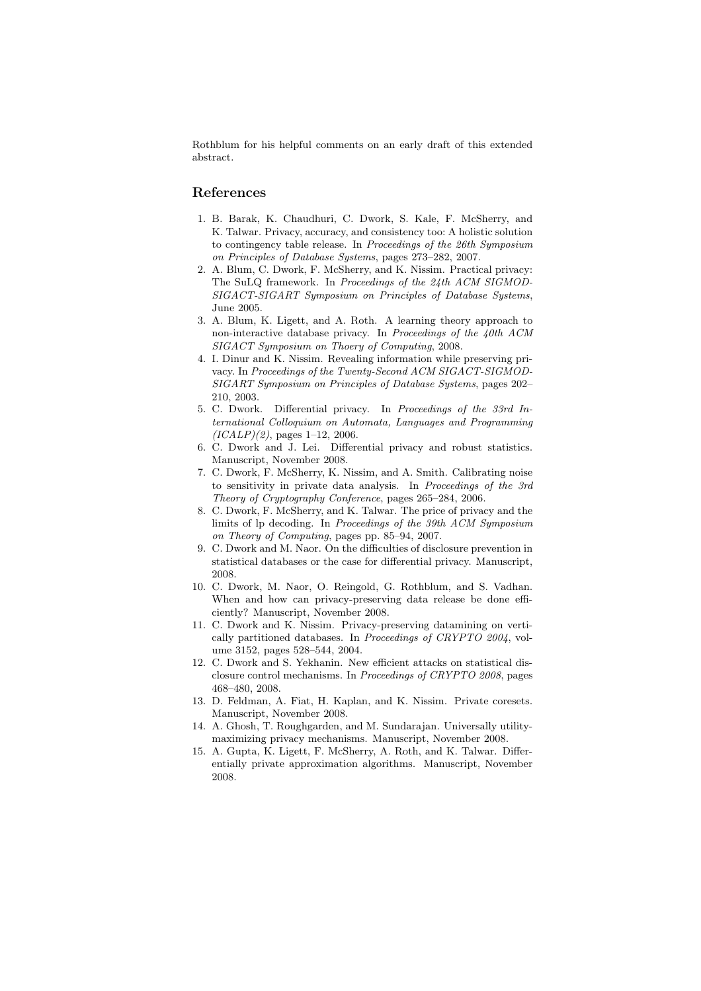Rothblum for his helpful comments on an early draft of this extended abstract.

## References

- 1. B. Barak, K. Chaudhuri, C. Dwork, S. Kale, F. McSherry, and K. Talwar. Privacy, accuracy, and consistency too: A holistic solution to contingency table release. In Proceedings of the 26th Symposium on Principles of Database Systems, pages 273–282, 2007.
- 2. A. Blum, C. Dwork, F. McSherry, and K. Nissim. Practical privacy: The SuLQ framework. In Proceedings of the 24th ACM SIGMOD-SIGACT-SIGART Symposium on Principles of Database Systems, June 2005.
- 3. A. Blum, K. Ligett, and A. Roth. A learning theory approach to non-interactive database privacy. In Proceedings of the 40th ACM SIGACT Symposium on Thoery of Computing, 2008.
- 4. I. Dinur and K. Nissim. Revealing information while preserving privacy. In Proceedings of the Twenty-Second ACM SIGACT-SIGMOD-SIGART Symposium on Principles of Database Systems, pages 202– 210, 2003.
- 5. C. Dwork. Differential privacy. In Proceedings of the 33rd International Colloquium on Automata, Languages and Programming  $(ICALP)(2)$ , pages 1–12, 2006.
- 6. C. Dwork and J. Lei. Differential privacy and robust statistics. Manuscript, November 2008.
- 7. C. Dwork, F. McSherry, K. Nissim, and A. Smith. Calibrating noise to sensitivity in private data analysis. In Proceedings of the 3rd Theory of Cryptography Conference, pages 265–284, 2006.
- 8. C. Dwork, F. McSherry, and K. Talwar. The price of privacy and the limits of lp decoding. In Proceedings of the 39th ACM Symposium on Theory of Computing, pages pp. 85–94, 2007.
- 9. C. Dwork and M. Naor. On the difficulties of disclosure prevention in statistical databases or the case for differential privacy. Manuscript, 2008.
- 10. C. Dwork, M. Naor, O. Reingold, G. Rothblum, and S. Vadhan. When and how can privacy-preserving data release be done efficiently? Manuscript, November 2008.
- 11. C. Dwork and K. Nissim. Privacy-preserving datamining on vertically partitioned databases. In Proceedings of CRYPTO 2004, volume 3152, pages 528–544, 2004.
- 12. C. Dwork and S. Yekhanin. New efficient attacks on statistical disclosure control mechanisms. In Proceedings of CRYPTO 2008, pages 468–480, 2008.
- 13. D. Feldman, A. Fiat, H. Kaplan, and K. Nissim. Private coresets. Manuscript, November 2008.
- 14. A. Ghosh, T. Roughgarden, and M. Sundarajan. Universally utilitymaximizing privacy mechanisms. Manuscript, November 2008.
- 15. A. Gupta, K. Ligett, F. McSherry, A. Roth, and K. Talwar. Differentially private approximation algorithms. Manuscript, November 2008.